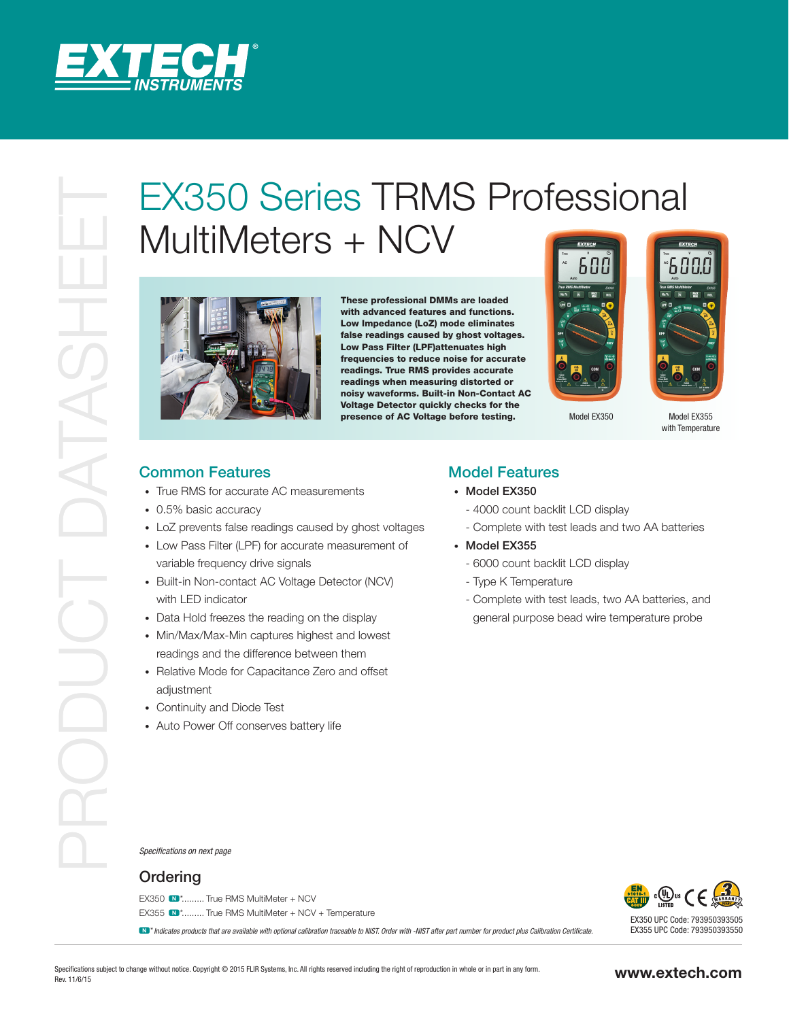

## EX350 Series TRMS Professional<br>
MultiMeters + NCV<br>
Professional<br>
Professional<br>
Common Feature<br>
Common Feature<br>
Professional Accords<br>
Professional Accords<br>
Professional Accords<br>
Professional Accords<br>
Professional Accords<br>
P MultiMeters + NCV



These professional DMMs are loaded with advanced features and functions. Low Impedance (LoZ) mode eliminates false readings caused by ghost voltages. Low Pass Filter (LPF)attenuates high frequencies to reduce noise for accurate readings. True RMS provides accurate readings when measuring distorted or noisy waveforms. Built-in Non-Contact AC Voltage Detector quickly checks for the presence of AC Voltage before testing.





Model EX350 Model EX355 with Temperature

## Common Features

- True RMS for accurate AC measurements
- 0.5% basic accuracy
- LoZ prevents false readings caused by ghost voltages
- Low Pass Filter (LPF) for accurate measurement of variable frequency drive signals
- Built-in Non-contact AC Voltage Detector (NCV) with LED indicator
- Data Hold freezes the reading on the display
- Min/Max/Max-Min captures highest and lowest readings and the difference between them
- Relative Mode for Capacitance Zero and offset adiustment
- Continuity and Diode Test
- Auto Power Off conserves battery life

## Model Features

- Model EX350
	- 4000 count backlit LCD display
	- Complete with test leads and two AA batteries
- Model EX355
	- 6000 count backlit LCD display
	- Type K Temperature
	- Complete with test leads, two AA batteries, and general purpose bead wire temperature probe

*Specifications on next page*

## **Ordering**

EX350  $\blacksquare^*$  \*......... True RMS MultiMeter + NCV EX355  $\blacksquare$ \*......... True RMS MultiMeter + NCV + Temperature

N \**Indicates products that are available with optional calibration traceable to NIST. Order with -NIST after part number for product plus Calibration Certificate.*